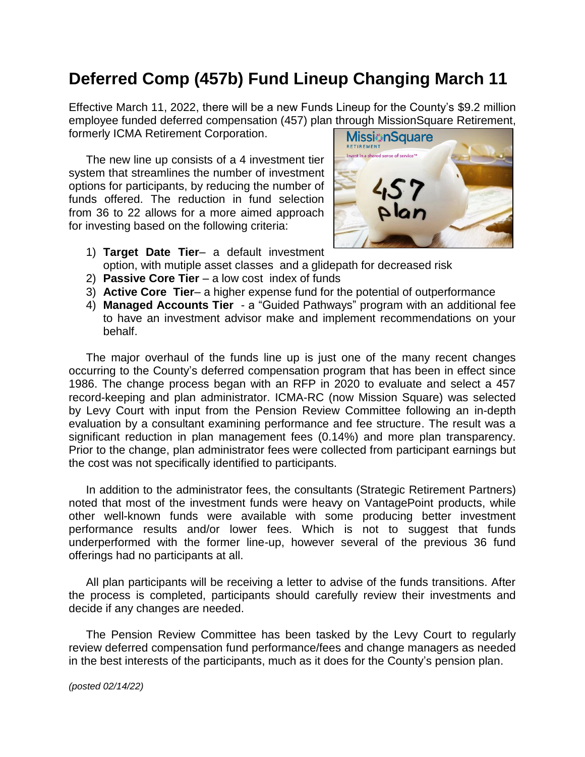## **Deferred Comp (457b) Fund Lineup Changing March 11**

Effective March 11, 2022, there will be a new Funds Lineup for the County's \$9.2 million employee funded deferred compensation (457) plan through MissionSquare Retirement, formerly ICMA Retirement Corporation.

The new line up consists of a 4 investment tier system that streamlines the number of investment options for participants, by reducing the number of funds offered. The reduction in fund selection from 36 to 22 allows for a more aimed approach for investing based on the following criteria:



- 1) **Target Date Tier** a default investment option, with mutiple asset classes and a glidepath for decreased risk
- 2) **Passive Core Tier** a low cost index of funds
- 3) **Active Core Tier** a higher expense fund for the potential of outperformance
- 4) **Managed Accounts Tier** a "Guided Pathways" program with an additional fee to have an investment advisor make and implement recommendations on your behalf.

The major overhaul of the funds line up is just one of the many recent changes occurring to the County's deferred compensation program that has been in effect since 1986. The change process began with an RFP in 2020 to evaluate and select a 457 record-keeping and plan administrator. ICMA-RC (now Mission Square) was selected by Levy Court with input from the Pension Review Committee following an in-depth evaluation by a consultant examining performance and fee structure. The result was a significant reduction in plan management fees (0.14%) and more plan transparency. Prior to the change, plan administrator fees were collected from participant earnings but the cost was not specifically identified to participants.

In addition to the administrator fees, the consultants (Strategic Retirement Partners) noted that most of the investment funds were heavy on VantagePoint products, while other well-known funds were available with some producing better investment performance results and/or lower fees. Which is not to suggest that funds underperformed with the former line-up, however several of the previous 36 fund offerings had no participants at all.

All plan participants will be receiving a letter to advise of the funds transitions. After the process is completed, participants should carefully review their investments and decide if any changes are needed.

The Pension Review Committee has been tasked by the Levy Court to regularly review deferred compensation fund performance/fees and change managers as needed in the best interests of the participants, much as it does for the County's pension plan.

*(posted 02/14/22)*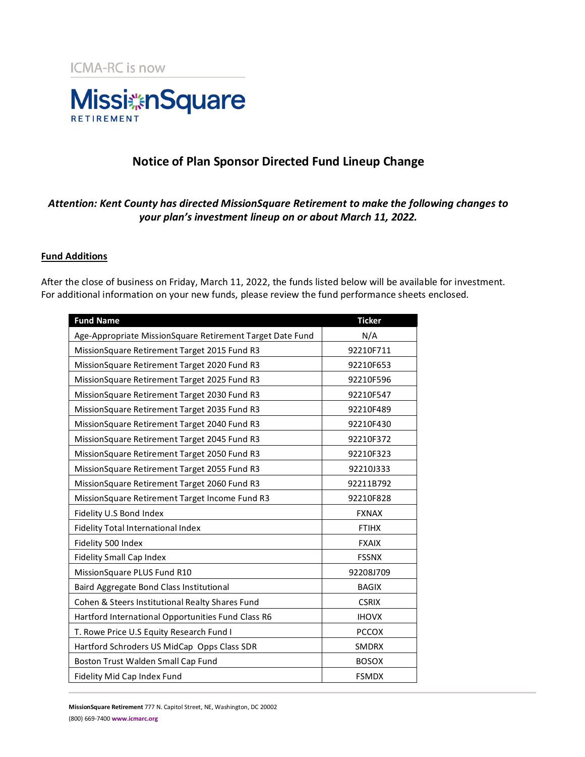

### **Notice of Plan Sponsor Directed Fund Lineup Change**

### *Attention: Kent County has directed MissionSquare Retirement to make the following changes to your plan's investment lineup on or about March 11, 2022.*

#### **Fund Additions**

After the close of business on Friday, March 11, 2022, the funds listed below will be available for investment. For additional information on your new funds, please review the fund performance sheets enclosed.

| <b>Fund Name</b>                                          | <b>Ticker</b> |
|-----------------------------------------------------------|---------------|
| Age-Appropriate MissionSquare Retirement Target Date Fund | N/A           |
| MissionSquare Retirement Target 2015 Fund R3              | 92210F711     |
| MissionSquare Retirement Target 2020 Fund R3              | 92210F653     |
| MissionSquare Retirement Target 2025 Fund R3              | 92210F596     |
| MissionSquare Retirement Target 2030 Fund R3              | 92210F547     |
| MissionSquare Retirement Target 2035 Fund R3              | 92210F489     |
| MissionSquare Retirement Target 2040 Fund R3              | 92210F430     |
| MissionSquare Retirement Target 2045 Fund R3              | 92210F372     |
| MissionSquare Retirement Target 2050 Fund R3              | 92210F323     |
| MissionSquare Retirement Target 2055 Fund R3              | 92210J333     |
| MissionSquare Retirement Target 2060 Fund R3              | 92211B792     |
| MissionSquare Retirement Target Income Fund R3            | 92210F828     |
| Fidelity U.S Bond Index                                   | <b>FXNAX</b>  |
| Fidelity Total International Index                        | <b>FTIHX</b>  |
| Fidelity 500 Index                                        | <b>FXAIX</b>  |
| <b>Fidelity Small Cap Index</b>                           | <b>FSSNX</b>  |
| MissionSquare PLUS Fund R10                               | 92208J709     |
| Baird Aggregate Bond Class Institutional                  | <b>BAGIX</b>  |
| Cohen & Steers Institutional Realty Shares Fund           | <b>CSRIX</b>  |
| Hartford International Opportunities Fund Class R6        | <b>IHOVX</b>  |
| T. Rowe Price U.S Equity Research Fund I                  | <b>PCCOX</b>  |
| Hartford Schroders US MidCap Opps Class SDR               | <b>SMDRX</b>  |
| Boston Trust Walden Small Cap Fund                        | <b>BOSOX</b>  |
| Fidelity Mid Cap Index Fund                               | <b>FSMDX</b>  |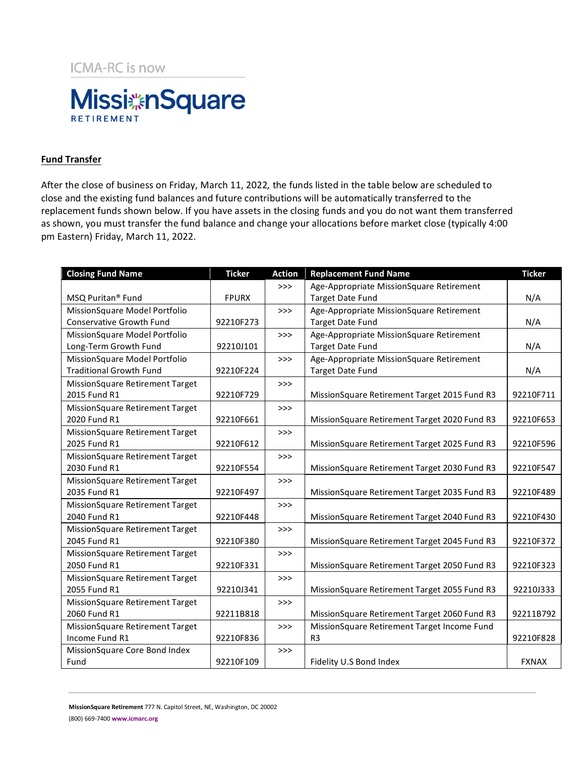**ICMA-RC is now** 



### **Fund Transfer**

After the close of business on Friday, March 11, 2022*,* the funds listed in the table below are scheduled to close and the existing fund balances and future contributions will be automatically transferred to the replacement funds shown below. If you have assets in the closing funds and you do not want them transferred as shown, you must transfer the fund balance and change your allocations before market close (typically 4:00 pm Eastern) Friday, March 11, 2022.

| <b>Closing Fund Name</b>        | <b>Ticker</b> | <b>Action</b> | <b>Replacement Fund Name</b>                 | <b>Ticker</b> |
|---------------------------------|---------------|---------------|----------------------------------------------|---------------|
|                                 |               | >>            | Age-Appropriate MissionSquare Retirement     |               |
| MSQ Puritan <sup>®</sup> Fund   | <b>FPURX</b>  |               | <b>Target Date Fund</b>                      | N/A           |
| MissionSquare Model Portfolio   |               | >>            | Age-Appropriate MissionSquare Retirement     |               |
| <b>Conservative Growth Fund</b> | 92210F273     |               | <b>Target Date Fund</b>                      | N/A           |
| MissionSquare Model Portfolio   |               | $>>>$         | Age-Appropriate MissionSquare Retirement     |               |
| Long-Term Growth Fund           | 92210J101     |               | <b>Target Date Fund</b>                      | N/A           |
| MissionSquare Model Portfolio   |               | $>>>$         | Age-Appropriate MissionSquare Retirement     |               |
| <b>Traditional Growth Fund</b>  | 92210F224     |               | <b>Target Date Fund</b>                      | N/A           |
| MissionSquare Retirement Target |               | >>            |                                              |               |
| 2015 Fund R1                    | 92210F729     |               | MissionSquare Retirement Target 2015 Fund R3 | 92210F711     |
| MissionSquare Retirement Target |               | >>            |                                              |               |
| 2020 Fund R1                    | 92210F661     |               | MissionSquare Retirement Target 2020 Fund R3 | 92210F653     |
| MissionSquare Retirement Target |               | $>>>$         |                                              |               |
| 2025 Fund R1                    | 92210F612     |               | MissionSquare Retirement Target 2025 Fund R3 | 92210F596     |
| MissionSquare Retirement Target |               | >>            |                                              |               |
| 2030 Fund R1                    | 92210F554     |               | MissionSquare Retirement Target 2030 Fund R3 | 92210F547     |
| MissionSquare Retirement Target |               | >>            |                                              |               |
| 2035 Fund R1                    | 92210F497     |               | MissionSquare Retirement Target 2035 Fund R3 | 92210F489     |
| MissionSquare Retirement Target |               | >>>           |                                              |               |
| 2040 Fund R1                    | 92210F448     |               | MissionSquare Retirement Target 2040 Fund R3 | 92210F430     |
| MissionSquare Retirement Target |               | $>>>$         |                                              |               |
| 2045 Fund R1                    | 92210F380     |               | MissionSquare Retirement Target 2045 Fund R3 | 92210F372     |
| MissionSquare Retirement Target |               | >>            |                                              |               |
| 2050 Fund R1                    | 92210F331     |               | MissionSquare Retirement Target 2050 Fund R3 | 92210F323     |
| MissionSquare Retirement Target |               | >>            |                                              |               |
| 2055 Fund R1                    | 92210J341     |               | MissionSquare Retirement Target 2055 Fund R3 | 92210J333     |
| MissionSquare Retirement Target |               | $>>>$         |                                              |               |
| 2060 Fund R1                    | 92211B818     |               | MissionSquare Retirement Target 2060 Fund R3 | 92211B792     |
| MissionSquare Retirement Target |               | $>>>$         | MissionSquare Retirement Target Income Fund  |               |
| Income Fund R1                  | 92210F836     |               | R <sub>3</sub>                               | 92210F828     |
| MissionSquare Core Bond Index   |               | >>            |                                              |               |
| Fund                            | 92210F109     |               | Fidelity U.S Bond Index                      | <b>FXNAX</b>  |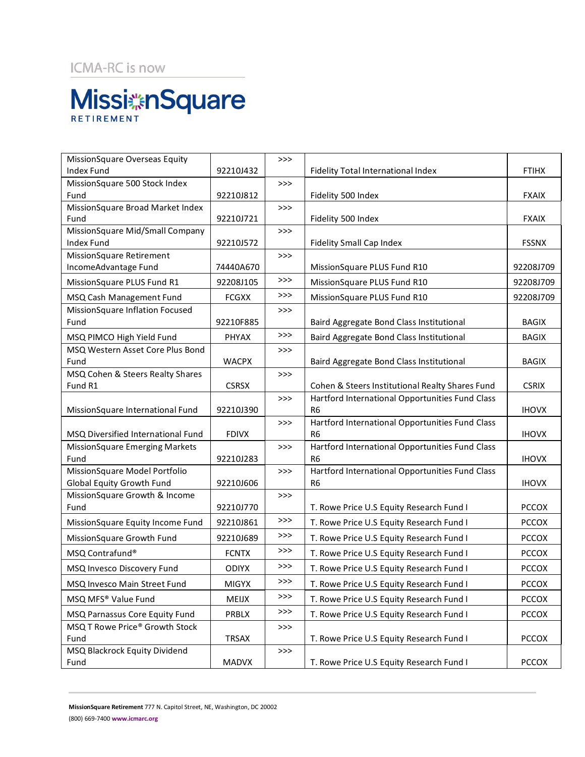## ICMA-RC is now

# **Missi** an Square RETIREMENT

| MissionSquare Overseas Equity                                     |              | >>>   |                                                                   |              |
|-------------------------------------------------------------------|--------------|-------|-------------------------------------------------------------------|--------------|
| <b>Index Fund</b>                                                 | 92210J432    |       | Fidelity Total International Index                                | <b>FTIHX</b> |
| MissionSquare 500 Stock Index                                     |              | $>>>$ |                                                                   |              |
| Fund                                                              | 92210J812    |       | Fidelity 500 Index                                                | <b>FXAIX</b> |
| MissionSquare Broad Market Index                                  |              | >>    |                                                                   |              |
| Fund                                                              | 92210J721    |       | Fidelity 500 Index                                                | <b>FXAIX</b> |
| MissionSquare Mid/Small Company                                   |              | >>    |                                                                   |              |
| <b>Index Fund</b>                                                 | 92210J572    |       | Fidelity Small Cap Index                                          | <b>FSSNX</b> |
| MissionSquare Retirement                                          |              | >>    |                                                                   |              |
| IncomeAdvantage Fund                                              | 74440A670    |       | MissionSquare PLUS Fund R10                                       | 92208J709    |
| MissionSquare PLUS Fund R1                                        | 92208J105    | >>    | MissionSquare PLUS Fund R10                                       | 92208J709    |
| MSQ Cash Management Fund                                          | <b>FCGXX</b> | >>>   | MissionSquare PLUS Fund R10                                       | 92208J709    |
| MissionSquare Inflation Focused                                   |              | >>    |                                                                   |              |
| Fund                                                              | 92210F885    |       | Baird Aggregate Bond Class Institutional                          | <b>BAGIX</b> |
| MSQ PIMCO High Yield Fund                                         | PHYAX        | >>    | Baird Aggregate Bond Class Institutional                          | <b>BAGIX</b> |
| MSQ Western Asset Core Plus Bond                                  |              | >>    |                                                                   |              |
| Fund                                                              | <b>WACPX</b> |       | Baird Aggregate Bond Class Institutional                          | <b>BAGIX</b> |
| MSQ Cohen & Steers Realty Shares                                  |              | >>    |                                                                   |              |
| Fund R1                                                           | <b>CSRSX</b> |       | Cohen & Steers Institutional Realty Shares Fund                   | <b>CSRIX</b> |
|                                                                   |              | >>    | Hartford International Opportunities Fund Class                   |              |
| MissionSquare International Fund                                  | 92210J390    |       | R <sub>6</sub>                                                    | <b>IHOVX</b> |
|                                                                   |              | >>    | Hartford International Opportunities Fund Class                   |              |
| MSQ Diversified International Fund                                | <b>FDIVX</b> |       | R <sub>6</sub>                                                    | <b>IHOVX</b> |
| <b>MissionSquare Emerging Markets</b>                             |              | >>    | Hartford International Opportunities Fund Class                   |              |
| Fund                                                              | 92210J283    |       | R6                                                                | <b>IHOVX</b> |
| MissionSquare Model Portfolio<br><b>Global Equity Growth Fund</b> | 92210J606    | >>    | Hartford International Opportunities Fund Class<br>R <sub>6</sub> | <b>IHOVX</b> |
| MissionSquare Growth & Income                                     |              | $>>>$ |                                                                   |              |
| Fund                                                              | 92210J770    |       | T. Rowe Price U.S Equity Research Fund I                          | <b>PCCOX</b> |
|                                                                   |              | >>>   |                                                                   |              |
| MissionSquare Equity Income Fund                                  | 92210J861    |       | T. Rowe Price U.S Equity Research Fund I                          | <b>PCCOX</b> |
| MissionSquare Growth Fund                                         | 92210J689    | >>>   | T. Rowe Price U.S Equity Research Fund I                          | <b>PCCOX</b> |
| MSQ Contrafund®                                                   | <b>FCNTX</b> | $>>>$ | T. Rowe Price U.S Equity Research Fund I                          | PCCOX        |
| MSQ Invesco Discovery Fund                                        | <b>ODIYX</b> | >>>   | T. Rowe Price U.S Equity Research Fund I                          | <b>PCCOX</b> |
| MSQ Invesco Main Street Fund                                      | MIGYX        | $>>>$ | T. Rowe Price U.S Equity Research Fund I                          | <b>PCCOX</b> |
| MSQ MFS® Value Fund                                               | MEIJX        | >>>   | T. Rowe Price U.S Equity Research Fund I                          | <b>PCCOX</b> |
| MSQ Parnassus Core Equity Fund                                    | PRBLX        | $>>>$ | T. Rowe Price U.S Equity Research Fund I                          | <b>PCCOX</b> |
| MSQ T Rowe Price® Growth Stock                                    |              | >>>   |                                                                   |              |
| Fund                                                              | TRSAX        |       | T. Rowe Price U.S Equity Research Fund I                          | <b>PCCOX</b> |
| MSQ Blackrock Equity Dividend                                     |              | >>>   |                                                                   |              |
| Fund                                                              | <b>MADVX</b> |       | T. Rowe Price U.S Equity Research Fund I                          | <b>PCCOX</b> |